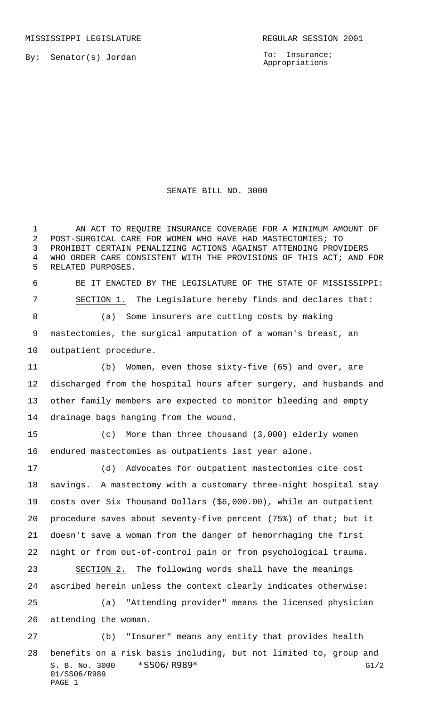MISSISSIPPI LEGISLATURE **REGULAR SESSION 2001** 

By: Senator(s) Jordan

PAGE 1

To: Insurance; Appropriations

## SENATE BILL NO. 3000

S. B. No. 3000 \* SSO6/R989\* G1/2 01/SS06/R989 1 AN ACT TO REQUIRE INSURANCE COVERAGE FOR A MINIMUM AMOUNT OF POST-SURGICAL CARE FOR WOMEN WHO HAVE HAD MASTECTOMIES; TO PROHIBIT CERTAIN PENALIZING ACTIONS AGAINST ATTENDING PROVIDERS WHO ORDER CARE CONSISTENT WITH THE PROVISIONS OF THIS ACT; AND FOR RELATED PURPOSES. BE IT ENACTED BY THE LEGISLATURE OF THE STATE OF MISSISSIPPI: SECTION 1. The Legislature hereby finds and declares that: (a) Some insurers are cutting costs by making mastectomies, the surgical amputation of a woman's breast, an outpatient procedure. (b) Women, even those sixty-five (65) and over, are discharged from the hospital hours after surgery, and husbands and other family members are expected to monitor bleeding and empty drainage bags hanging from the wound. (c) More than three thousand (3,000) elderly women endured mastectomies as outpatients last year alone. (d) Advocates for outpatient mastectomies cite cost savings. A mastectomy with a customary three-night hospital stay costs over Six Thousand Dollars (\$6,000.00), while an outpatient procedure saves about seventy-five percent (75%) of that; but it doesn't save a woman from the danger of hemorrhaging the first night or from out-of-control pain or from psychological trauma. SECTION 2. The following words shall have the meanings ascribed herein unless the context clearly indicates otherwise: (a) "Attending provider" means the licensed physician attending the woman. (b) "Insurer" means any entity that provides health benefits on a risk basis including, but not limited to, group and